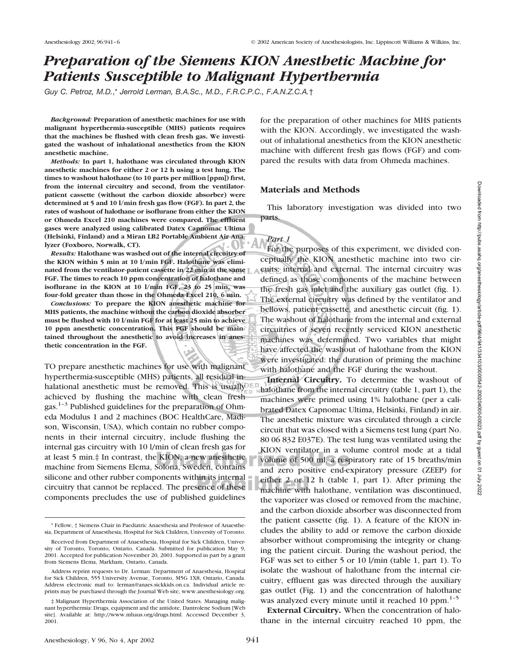# *Preparation of the Siemens KION Anesthetic Machine for Patients Susceptible to Malignant Hyperthermia*

*Guy C. Petroz, M.D.*,\* *Jerrold Lerman, B.A.Sc., M.D., F.R.C.P.C., F.A.N.Z.C.A.*†

*Background:* **Preparation of anesthetic machines for use with malignant hyperthermia-susceptible (MHS) patients requires that the machines be flushed with clean fresh gas. We investigated the washout of inhalational anesthetics from the KION anesthetic machine.**

*Methods:* **In part 1, halothane was circulated through KION anesthetic machines for either 2 or 12 h using a test lung. The times to washout halothane (to 10 parts per million [ppm]) first, from the internal circuitry and second, from the ventilatorpatient cassette (without the carbon dioxide absorber) were determined at 5 and 10 l/min fresh gas flow (FGF). In part 2, the rates of washout of halothane or isoflurane from either the KION or Ohmeda Excel 210 machines were compared. The effluent gases were analyzed using calibrated Datex Capnomac Ultima (Helsinki, Finland) and a Miran LB2 Portable Ambient Air Analyzer (Foxboro, Norwalk, CT).**

*Results:* **Halothane was washed out of the internal circuitry of the KION within 5 min at 10 l/min FGF. Halothane was eliminated from the ventilator-patient cassette in 22 min at the same FGF. The times to reach 10 ppm concentration of halothane and isoflurane in the KION at 10 l/min FGF, 23 to 25 min, was four-fold greater than those in the Ohmeda Excel 210, 6 min.**

*Conclusions:* **To prepare the KION anesthetic machine for MHS patients, the machine without the carbon dioxide absorber must be flushed with 10 l/min FGF for at least 25 min to achieve 10 ppm anesthetic concentration. This FGF should be maintained throughout the anesthetic to avoid increases in anesthetic concentration in the FGF.**

TO prepare anesthetic machines for use with malignant hyperthermia-susceptible (MHS) patients, all residual inhalational anesthetic must be removed. This is usually achieved by flushing the machine with clean fresh gas.<sup>1–3</sup> Published guidelines for the preparation of Ohmeda Modulus 1 and 2 machines (BOC HealthCare, Madison, Wisconsin, USA), which contain no rubber components in their internal circuitry, include flushing the internal gas circuitry with 10 l/min of clean fresh gas for at least 5 min.‡ In contrast, the KION, a new anesthetic machine from Siemens Elema, Solona, Sweden, contains silicone and other rubber components within its internal circuitry that cannot be replaced. The presence of these components precludes the use of published guidelines

for the preparation of other machines for MHS patients with the KION. Accordingly, we investigated the washout of inhalational anesthetics from the KION anesthetic machine with different fresh gas flows (FGF) and compared the results with data from Ohmeda machines.

#### **Materials and Methods**

This laboratory investigation was divided into two parts.

#### *Part 1*

For the purposes of this experiment, we divided conceptually the KION anesthetic machine into two circuits: internal and external. The internal circuitry was defined as those components of the machine between the fresh gas inlet and the auxiliary gas outlet (fig. 1). The external circuitry was defined by the ventilator and bellows, patient cassette, and anesthetic circuit (fig. 1). The washout of halothane from the internal and external circuitries of seven recently serviced KION anesthetic machines was determined. Two variables that might have affected the washout of halothane from the KION were investigated: the duration of priming the machine with halothane and the FGF during the washout.

**Internal Circuitry.** To determine the washout of halothane from the internal circuitry (table 1, part 1), the machines were primed using 1% halothane (per a calibrated Datex Capnomac Ultima, Helsinki, Finland) in air. The anesthetic mixture was circulated through a circle circuit that was closed with a Siemens test lung (part No. 80 06 832 E037E). The test lung was ventilated using the KION ventilator in a volume control mode at a tidal volume of 500 ml, a respiratory rate of 15 breaths/min and zero positive end-expiratory pressure (ZEEP) for either 2 or 12 h (table 1, part 1). After priming the machine with halothane, ventilation was discontinued, the vaporizer was closed or removed from the machine, and the carbon dioxide absorber was disconnected from the patient cassette (fig. 1). A feature of the KION includes the ability to add or remove the carbon dioxide absorber without compromising the integrity or changing the patient circuit. During the washout period, the FGF was set to either 5 or 10 l/min (table 1, part 1). To isolate the washout of halothane from the internal circuitry, effluent gas was directed through the auxiliary gas outlet (Fig. 1) and the concentration of halothane was analyzed every minute until it reached 10 ppm. $1-5$ 

**External Circuitry.** When the concentration of halothane in the internal circuitry reached 10 ppm, the

<sup>\*</sup> Fellow, † Siemens Chair in Paediatric Anaesthesia and Professor of Anaesthesia, Department of Anaesthesia, Hospital for Sick Children, University of Toronto.

Received from Department of Anaesthesia, Hospital for Sick Children, University of Toronto, Toronto, Ontario, Canada. Submitted for publication May 9, 2001. Accepted for publication November 20, 2001. Supported in part by a grant from Siemens Elema, Markham, Ontario, Canada.

Address reprint requests to Dr. Lerman: Department of Anaesthesia, Hospital for Sick Children, 555 University Avenue, Toronto, M5G 1X8, Ontario, Canada. Address electronic mail to: lerman@anaes.sickkids.on.ca. Individual article reprints may be purchased through the Journal Web site, www.anesthesiology.org.

<sup>‡</sup> Malignant Hyperthermia Association of the United States. Managing malignant hyperthermia: Drugs, equipment and the antidote, Dantrolene Sodium [Web site]. Available at: http://www.mhaus.org/drugs.html. Accessed December 3, 2001.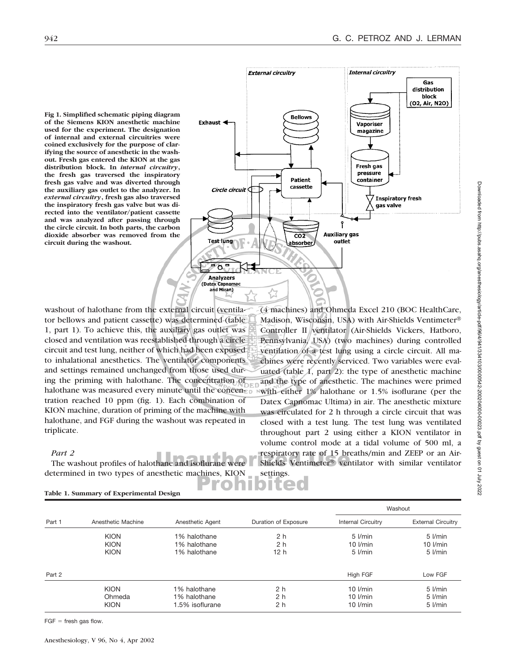**Fig 1. Simplified schematic piping diagram of the Siemens KION anesthetic machine used for the experiment. The designation of internal and external circuitries were coined exclusively for the purpose of clarifying the source of anesthetic in the washout. Fresh gas entered the KION at the gas distribution block. In** *internal circuitry***, the fresh gas traversed the inspiratory fresh gas valve and was diverted through the auxiliary gas outlet to the analyzer. In** *external circuitry***, fresh gas also traversed the inspiratory fresh gas valve but was directed into the ventilator/patient cassette and was analyzed after passing through the circle circuit. In both parts, the carbon dioxide absorber was removed from the circuit during the washout.**



washout of halothane from the external circuit (ventilator bellows and patient cassette) was determined (table 1, part 1). To achieve this, the auxiliary gas outlet was closed and ventilation was reestablished through a circle circuit and test lung, neither of which had been exposed to inhalational anesthetics. The ventilator components and settings remained unchanged from those used during the priming with halothane. The concentration of halothane was measured every minute until the concentration reached 10 ppm (fig. 1). Each combination of KION machine, duration of priming of the machine with halothane, and FGF during the washout was repeated in triplicate.

#### *Part 2*

The washout profiles of halothane and isoflurane determined in two types of anesthetic machines, KION

(4 machines) and Ohmeda Excel 210 (BOC HealthCare, Madison, Wisconsin, USA) with Air-Shields Ventimeter Controller II ventilator (Air-Shields Vickers, Hatboro, Pennsylvania, USA) (two machines) during controlled ventilation of a test lung using a circle circuit. All machines were recently serviced. Two variables were evaluated (table 1, part 2): the type of anesthetic machine and the type of anesthetic. The machines were primed with either 1% halothane or 1.5% isoflurane (per the Datex Capnomac Ultima) in air. The anesthetic mixture was circulated for 2 h through a circle circuit that was closed with a test lung. The test lung was ventilated throughout part 2 using either a KION ventilator in volume control mode at a tidal volume of 500 ml, a respiratory rate of 15 breaths/min and ZEEP or an Air-Shields Ventimeter<sup>®</sup> ventilator with similar ventilator settings.

|        |                    |                  |                      |                           | Washout                   |  |  |
|--------|--------------------|------------------|----------------------|---------------------------|---------------------------|--|--|
| Part 1 | Anesthetic Machine | Anesthetic Agent | Duration of Exposure | <b>Internal Circuitry</b> | <b>External Circuitry</b> |  |  |
|        | <b>KION</b>        | 1% halothane     | 2 <sub>h</sub>       | $5$ $l/min$               | $5$ $1/min$               |  |  |
|        | <b>KION</b>        | 1% halothane     | 2 <sub>h</sub>       | $10$ $l/min$              | $10$ $l/min$              |  |  |
|        | <b>KION</b>        | 1% halothane     | 12 <sub>h</sub>      | $5$ I/min                 | $5$ $Vmin$                |  |  |
| Part 2 |                    |                  |                      | High FGF                  | Low FGF                   |  |  |
|        | <b>KION</b>        | 1% halothane     | 2 <sub>h</sub>       | $10$ $l/min$              | 5 l/min                   |  |  |
|        | Ohmeda             | 1% halothane     | 2 h                  | $10$ $l/min$              | $5$ $Vmin$                |  |  |
|        | <b>KION</b>        | 1.5% isoflurane  | 2 <sub>h</sub>       | $10$ $Vmin$               | $5$ $Vmin$                |  |  |
|        |                    |                  |                      |                           |                           |  |  |

**Table 1. Summary of Experimental Design**

 $FGF =$  fresh gas flow.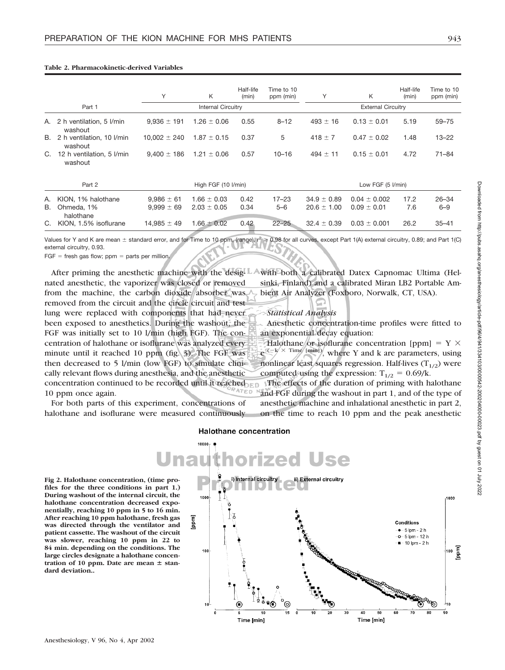|          | Part 1                                        | Υ                                | K<br><b>Internal Circuitry</b>     | Half-life<br>(min) | Time to 10<br>ppm (min) | Υ                                  | K<br><b>External Circuitry</b>      | Half-life<br>(min) | Time to 10<br>ppm (min) |
|----------|-----------------------------------------------|----------------------------------|------------------------------------|--------------------|-------------------------|------------------------------------|-------------------------------------|--------------------|-------------------------|
| А.       | 2 h ventilation, 5 l/min<br>washout           | $9.936 \pm 191$                  | $1.26 \pm 0.06$                    | 0.55               | $8 - 12$                | $493 \pm 16$                       | $0.13 \pm 0.01$                     | 5.19               | $59 - 75$               |
| В.       | 2 h ventilation, 10 l/min<br>washout          | $10,002 \pm 240$                 | $1.87 \pm 0.15$                    | 0.37               | 5                       | $418 \pm 7$                        | $0.47 \pm 0.02$                     | 1.48               | $13 - 22$               |
| C.       | 12 h ventilation, 5 l/min<br>washout          | $9,400 \pm 186$                  | $1.21 \pm 0.06$                    | 0.57               | $10 - 16$               | $494 \pm 11$                       | $0.15 \pm 0.01$                     | 4.72               | $71 - 84$               |
|          | Part 2                                        |                                  | High FGF (10 I/min)                |                    | Low FGF (5 I/min)       |                                    |                                     |                    |                         |
| А.<br>В. | KION, 1% halothane<br>Ohmeda, 1%<br>halothane | $9,986 \pm 61$<br>$9,999 \pm 69$ | $1.66 \pm 0.03$<br>$2.03 \pm 0.05$ | 0.42<br>0.34       | $17 - 23$<br>$5 - 6$    | $34.9 \pm 0.89$<br>$20.6 \pm 1.00$ | $0.04 \pm 0.002$<br>$0.09 \pm 0.01$ | 17.2<br>7.6        | $26 - 34$<br>$6 - 9$    |
| C.       | KION, 1.5% isoflurane                         | $14.985 \pm 49$                  | $1.66 \pm 0.02$                    | 0.42               | $22 - 25$               | $32.4 \pm 0.39$                    | $0.03 \pm 0.001$                    | 26.2               | $35 - 41$               |

#### **Table 2. Pharmacokinetic-derived Variables**

Values for Y and K are mean  $\pm$  standard error, and for Time to 10 ppm, (range).  $r^2 \ge 0.98$  for all curves, except Part 1(A) external circuitry, 0.89; and Part 1(C) external circuitry, 0.93.

 $FGF =$  fresh gas flow; ppm = parts per million.

After priming the anesthetic machine with the designated anesthetic, the vaporizer was closed or removed from the machine, the carbon dioxide absorber was removed from the circuit and the circle circuit and test lung were replaced with components that had never been exposed to anesthetics. During the washout, the FGF was initially set to 10 l/min (high FGF). The concentration of halothane or isoflurane was analyzed every minute until it reached 10 ppm (fig. 3). The FGF was then decreased to 5 l/min (low FGF) to simulate clinically relevant flows during anesthesia, and the anesthetic concentration continued to be recorded until it reached TED 10 ppm once again.

For both parts of this experiment, concentrations of halothane and isoflurane were measured continuously with both a calibrated Datex Capnomac Ultima (Helsinki, Finland) and a calibrated Miran LB2 Portable Ambient Air Analyzer (Foxboro, Norwalk, CT, USA).

#### *Statistical Analysis*

Anesthetic concentration-time profiles were fitted to an exponential decay equation:

Halothane or isoflurane concentration [ppm] =  $Y \times$  $e^{(-k \times Time [min])}$ , where Y and k are parameters, using nonlinear least squares regression. Half-lives  $(T_{1/2})$  were computed using the expression:  $T_{1/2} = 0.69/k$ .

The effects of the duration of priming with halothane and FGF during the washout in part 1, and of the type of anesthetic machine and inhalational anesthetic in part 2, on the time to reach 10 ppm and the peak anesthetic

#### **Halothane concentration**

**orized Use** Jnai i) Internal circuitry **Fig 2. Halothane concentration, (time pro**ii) External circuitry **files for the three conditions in part 1.) During washout of the internal circuit, the** 1000 1000 **halothane concentration decreased exponentially, reaching 10 ppm in 5 to 16 min. After reaching 10 ppm halothane, fresh gas Ippm** Conditions **was directed through the ventilator and**  $-5$  lpm - 2 h **patient cassette. The washout of the circuit** -o-5 lpm - 12 h **was slower, reaching 10 ppm in 22 to** 10 lpm - 2 h **84 min. depending on the conditions. The** 100 100 톱<br>프 **large circles designate a halothane concentration of 10 ppm. Date are mean**  $\pm$  **stan-**110 40 Time [min] Time [min]

Anesthesiology, V 96, No 4, Apr 2002

**dard deviation..**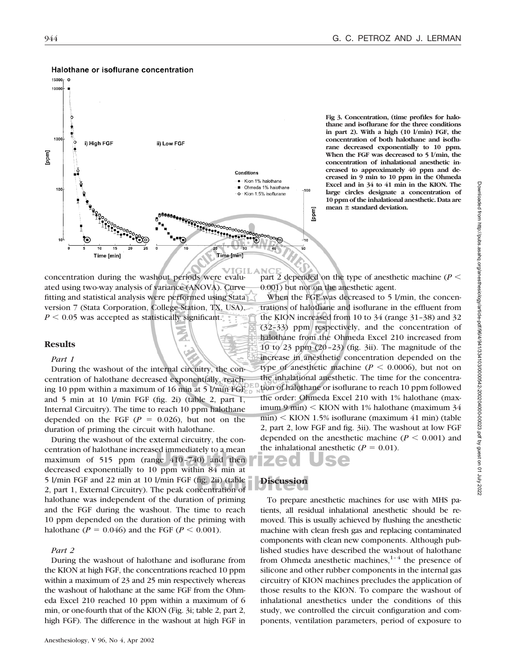

#### Halothane or isoflurane concentration

**Fig 3. Concentration, (time profiles for halothane and isoflurane for the three conditions in part 2). With a high (10 l/min) FGF, the concentration of both halothane and isoflurane decreased exponentially to 10 ppm. When the FGF was decreased to 5 l/min, the concentration of inhalational anesthetic increased to approximately 40 ppm and decreased in 9 min to 10 ppm in the Ohmeda Excel and in 34 to 41 min in the KION. The large circles designate a concentration of 10 ppm of the inhalational anesthetic. Data are mean**  $\pm$  **standard deviation.** 

concentration during the washout periods were evaluated using two-way analysis of variance (ANOVA). Curve fitting and statistical analysis were performed using Stata version 7 (Stata Corporation, College Station, TX, USA).  $P \leq 0.05$  was accepted as statistically significant.

#### **Results**

#### *Part 1*

During the washout of the internal circuitry, the concentration of halothane decreased exponentially, reaching 10 ppm within a maximum of 16 min at 5 l/min FGF and 5 min at 10 l/min FGF (fig. 2i) (table 2, part 1, Internal Circuitry). The time to reach 10 ppm halothane depended on the FGF  $(P = 0.026)$ , but not on the duration of priming the circuit with halothane.

During the washout of the external circuitry, the concentration of halothane increased immediately to a mean maximum of 515 ppm (range 410–740) and then decreased exponentially to 10 ppm within 84 min at 5 l/min FGF and 22 min at 10 l/min FGF (fig. 2ii) (table 2, part 1, External Circuitry). The peak concentration of halothane was independent of the duration of priming and the FGF during the washout. The time to reach 10 ppm depended on the duration of the priming with halothane ( $P = 0.046$ ) and the FGF ( $P < 0.001$ ).

#### *Part 2*

During the washout of halothane and isoflurane from the KION at high FGF, the concentrations reached 10 ppm within a maximum of 23 and 25 min respectively whereas the washout of halothane at the same FGF from the Ohmeda Excel 210 reached 10 ppm within a maximum of 6 min, or one-fourth that of the KION (Fig. 3i; table 2, part 2, high FGF). The difference in the washout at high FGF in

part 2 depended on the type of anesthetic machine ( $P$  < 0.001) but not on the anesthetic agent.

When the FGF was decreased to 5 l/min, the concentrations of halothane and isoflurane in the effluent from the KION increased from 10 to 34 (range 31–38) and 32 (32–33) ppm respectively, and the concentration of halothane from the Ohmeda Excel 210 increased from 10 to 23 ppm (20–23) (fig. 3ii). The magnitude of the increase in anesthetic concentration depended on the type of anesthetic machine ( $P \le 0.0006$ ), but not on the inhalational anesthetic. The time for the concentration of halothane or isoflurane to reach 10 ppm followed the order: Ohmeda Excel 210 with 1% halothane (maximum 9 min)  $\leq$  KION with 1% halothane (maximum 34  $min$ )  $\leq$  KION 1.5% isoflurane (maximum 41 min) (table 2, part 2, low FGF and fig. 3ii). The washout at low FGF depended on the anesthetic machine  $(P \leq 0.001)$  and the inhalational anesthetic  $(P = 0.01)$ .

### **Discussion**

To prepare anesthetic machines for use with MHS patients, all residual inhalational anesthetic should be removed. This is usually achieved by flushing the anesthetic machine with clean fresh gas and replacing contaminated components with clean new components. Although published studies have described the washout of halothane from Ohmeda anesthetic machines, $1-4$  the presence of silicone and other rubber components in the internal gas circuitry of KION machines precludes the application of those results to the KION. To compare the washout of inhalational anesthetics under the conditions of this study, we controlled the circuit configuration and components, ventilation parameters, period of exposure to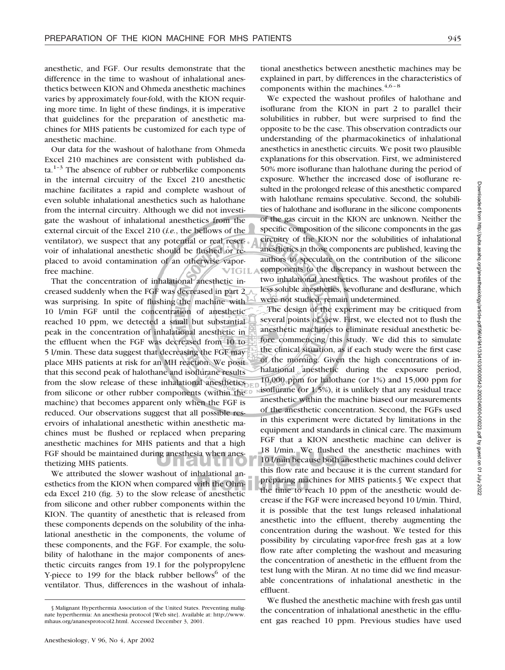anesthetic, and FGF. Our results demonstrate that the difference in the time to washout of inhalational anesthetics between KION and Ohmeda anesthetic machines varies by approximately four-fold, with the KION requiring more time. In light of these findings, it is imperative that guidelines for the preparation of anesthetic machines for MHS patients be customized for each type of anesthetic machine.

Our data for the washout of halothane from Ohmeda Excel 210 machines are consistent with published da $ta.<sup>1-3</sup>$  The absence of rubber or rubberlike components in the internal circuitry of the Excel 210 anesthetic machine facilitates a rapid and complete washout of even soluble inhalational anesthetics such as halothane from the internal circuitry. Although we did not investigate the washout of inhalational anesthetics from the external circuit of the Excel 210 (*i.e.*, the bellows of the ventilator), we suspect that any potential or real reservoir of inhalational anesthetic should be flushed or replaced to avoid contamination of an otherwise vaporfree machine.

That the concentration of inhalational anesthetic increased suddenly when the FGF was decreased in part 2 was surprising. In spite of flushing the machine with 10 l/min FGF until the concentration of anesthetic reached 10 ppm, we detected a small but substantial peak in the concentration of inhalational anesthetic in the effluent when the FGF was decreased from 10 to 5 l/min. These data suggest that decreasing the FGF may place MHS patients at risk for an MH reaction. We posit that this second peak of halothane and isoflurane results from the slow release of these inhalational anesthetics from silicone or other rubber components (within the machine) that becomes apparent only when the FGF is reduced. Our observations suggest that all possible reservoirs of inhalational anesthetic within anesthetic machines must be flushed or replaced when preparing anesthetic machines for MHS patients and that a high FGF should be maintained during anesthesia when anesthetizing MHS patients.

We attributed the slower washout of inhalational anesthetics from the KION when compared with the Ohmeda Excel 210 (fig. 3) to the slow release of anesthetic from silicone and other rubber components within the KION. The quantity of anesthetic that is released from these components depends on the solubility of the inhalational anesthetic in the components, the volume of these components, and the FGF. For example, the solubility of halothane in the major components of anesthetic circuits ranges from 19.1 for the polypropylene Y-piece to 199 for the black rubber bellows $6$  of the ventilator. Thus, differences in the washout of inhala-

We expected the washout profiles of halothane and isoflurane from the KION in part 2 to parallel their solubilities in rubber, but were surprised to find the opposite to be the case. This observation contradicts our understanding of the pharmacokinetics of inhalational anesthetics in anesthetic circuits. We posit two plausible explanations for this observation. First, we administered 50% more isoflurane than halothane during the period of exposure. Whether the increased dose of isoflurane resulted in the prolonged release of this anesthetic compared with halothane remains speculative. Second, the solubilities of halothane and isoflurane in the silicone components of the gas circuit in the KION are unknown. Neither the specific composition of the silicone components in the gas circuitry of the KION nor the solubilities of inhalational anesthetics in those components are published, leaving the authors to speculate on the contribution of the silicone components to the discrepancy in washout between the two inhalational anesthetics. The washout profiles of the less soluble anesthetics, sevoflurane and desflurane, which were not studied, remain undetermined.

The design of the experiment may be critiqued from several points of view. First, we elected not to flush the anesthetic machines to eliminate residual anesthetic before commencing this study. We did this to simulate the clinical situation, as if each study were the first case of the morning. Given the high concentrations of inhalational anesthetic during the exposure period, 10,000 ppm for halothane (or 1%) and 15,000 ppm for isoflurane (or 1.5%), it is unlikely that any residual trace anesthetic within the machine biased our measurements of the anesthetic concentration. Second, the FGFs used in this experiment were dictated by limitations in the equipment and standards in clinical care. The maximum FGF that a KION anesthetic machine can deliver is 18 l/min. We flushed the anesthetic machines with 10 l/min because both anesthetic machines could deliver this flow rate and because it is the current standard for preparing machines for MHS patients.§ We expect that the time to reach 10 ppm of the anesthetic would decrease if the FGF were increased beyond 10 l/min. Third, it is possible that the test lungs released inhalational anesthetic into the effluent, thereby augmenting the concentration during the washout. We tested for this possibility by circulating vapor-free fresh gas at a low flow rate after completing the washout and measuring the concentration of anesthetic in the effluent from the test lung with the Miran. At no time did we find measurable concentrations of inhalational anesthetic in the effluent.

We flushed the anesthetic machine with fresh gas until the concentration of inhalational anesthetic in the effluent gas reached 10 ppm. Previous studies have used

<sup>§</sup> Malignant Hyperthermia Association of the United States. Preventing malignate hyperthermia: An anesthesia protocol [Web site]. Available at: http://www. mhaus.org/ananesprotocol2.html. Accessed December 3, 2001.